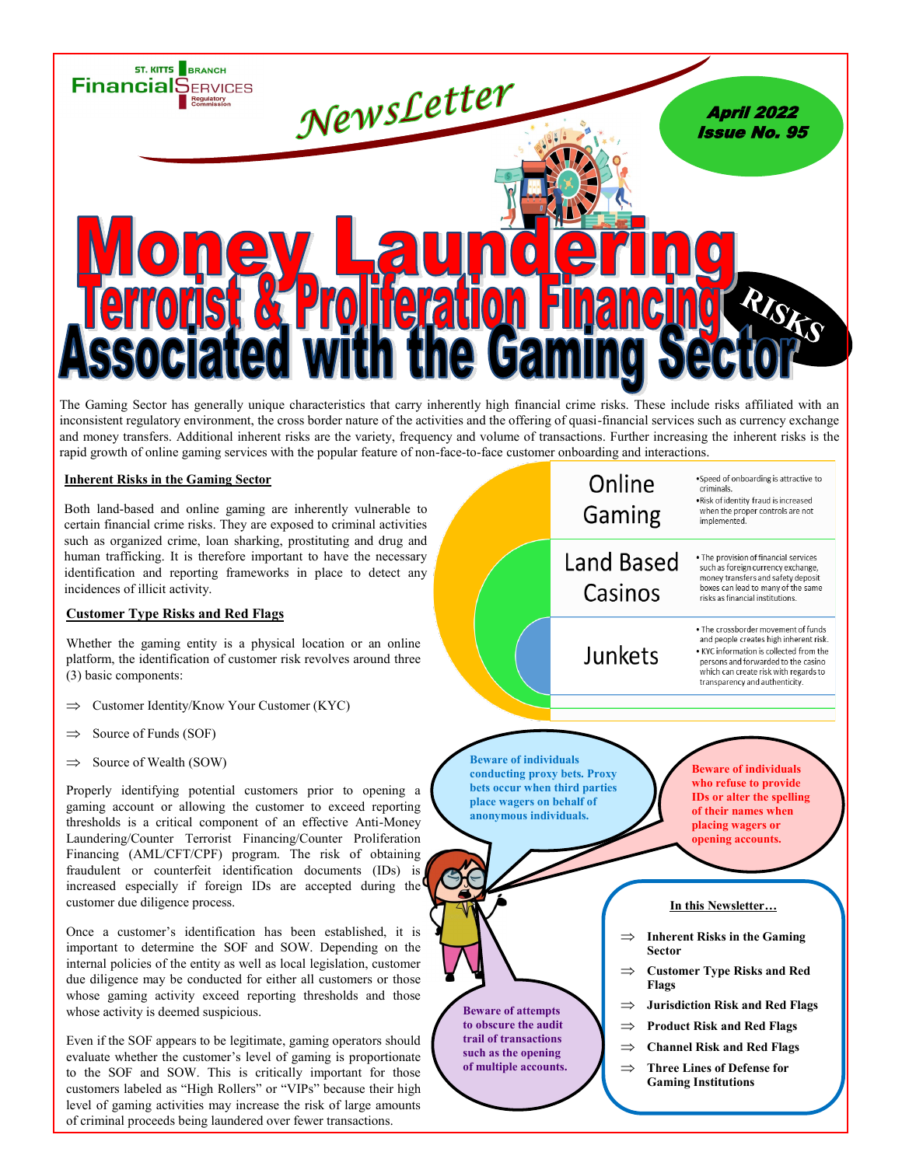

The Gaming Sector has generally unique characteristics that carry inherently high financial crime risks. These include risks affiliated with an inconsistent regulatory environment, the cross border nature of the activities and the offering of quasi-financial services such as currency exchange and money transfers. Additional inherent risks are the variety, frequency and volume of transactions. Further increasing the inherent risks is the rapid growth of online gaming services with the popular feature of non-face-to-face customer onboarding and interactions.

## **Inherent Risks in the Gaming Sector**

Both land-based and online gaming are inherently vulnerable to certain financial crime risks. They are exposed to criminal activities such as organized crime, loan sharking, prostituting and drug and human trafficking. It is therefore important to have the necessary identification and reporting frameworks in place to detect any incidences of illicit activity.

## **Customer Type Risks and Red Flags**

Whether the gaming entity is a physical location or an online platform, the identification of customer risk revolves around three (3) basic components:

- Customer Identity/Know Your Customer (KYC)
- $\Rightarrow$  Source of Funds (SOF)
- $\Rightarrow$  Source of Wealth (SOW)

Properly identifying potential customers prior to opening a gaming account or allowing the customer to exceed reporting thresholds is a critical component of an effective Anti-Money Laundering/Counter Terrorist Financing/Counter Proliferation Financing (AML/CFT/CPF) program. The risk of obtaining fraudulent or counterfeit identification documents (IDs) is increased especially if foreign IDs are accepted during the customer due diligence process.

Once a customer's identification has been established, it is important to determine the SOF and SOW. Depending on the internal policies of the entity as well as local legislation, customer due diligence may be conducted for either all customers or those whose gaming activity exceed reporting thresholds and those whose activity is deemed suspicious.

Even if the SOF appears to be legitimate, gaming operators should evaluate whether the customer's level of gaming is proportionate to the SOF and SOW. This is critically important for those customers labeled as "High Rollers" or "VIPs" because their high level of gaming activities may increase the risk of large amounts of criminal proceeds being laundered over fewer transactions.

![](_page_0_Figure_12.jpeg)